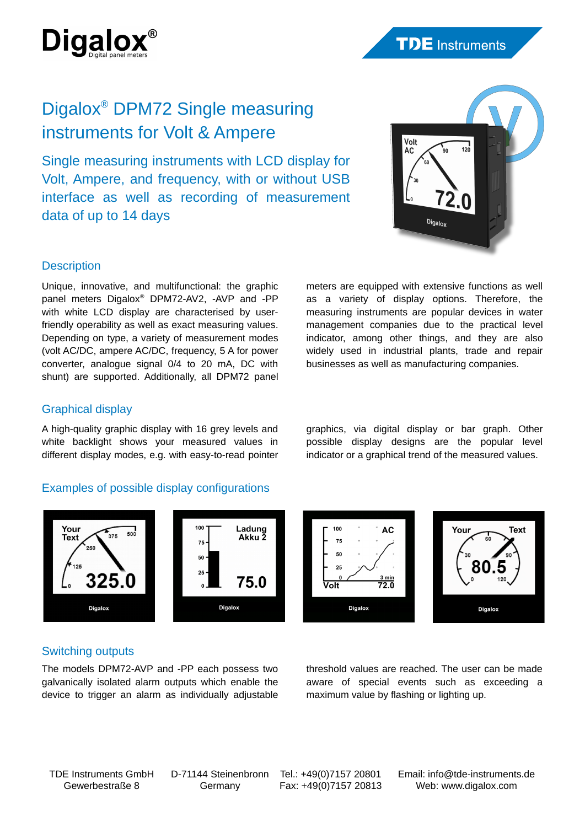

# Digalox® DPM72 Single measuring instruments for Volt & Ampere

Single measuring instruments with LCD display for Volt, Ampere, and frequency, with or without USB interface as well as recording of measurement data of up to 14 days



## **Description**

Unique, innovative, and multifunctional: the graphic panel meters Digalox® DPM72-AV2, -AVP and -PP with white LCD display are characterised by userfriendly operability as well as exact measuring values. Depending on type, a variety of measurement modes (volt AC/DC, ampere AC/DC, frequency, 5 A for power converter, analogue signal 0/4 to 20 mA, DC with shunt) are supported. Additionally, all DPM72 panel meters are equipped with extensive functions as well as a variety of display options. Therefore, the measuring instruments are popular devices in water management companies due to the practical level indicator, among other things, and they are also widely used in industrial plants, trade and repair businesses as well as manufacturing companies.

# Graphical display

A high-quality graphic display with 16 grey levels and white backlight shows your measured values in different display modes, e.g. with easy-to-read pointer

# Examples of possible display configurations



**AC** 75 50  $25$  $\frac{3 \text{ min}}{72.0}$ ⊽olf Digalox



## Switching outputs

The models DPM72-AVP and -PP each possess two galvanically isolated alarm outputs which enable the device to trigger an alarm as individually adjustable threshold values are reached. The user can be made aware of special events such as exceeding a maximum value by flashing or lighting up.

TDE Instruments GmbH Gewerbestraße 8

D-71144 Steinenbronn Germany

Tel.: +49(0)7157 20801 Fax: +49(0)7157 20813 Email: info@tde-instruments.de Web: [www.digalox.com](http://www.digalox.com/)

graphics, via digital display or bar graph. Other possible display designs are the popular level indicator or a graphical trend of the measured values.